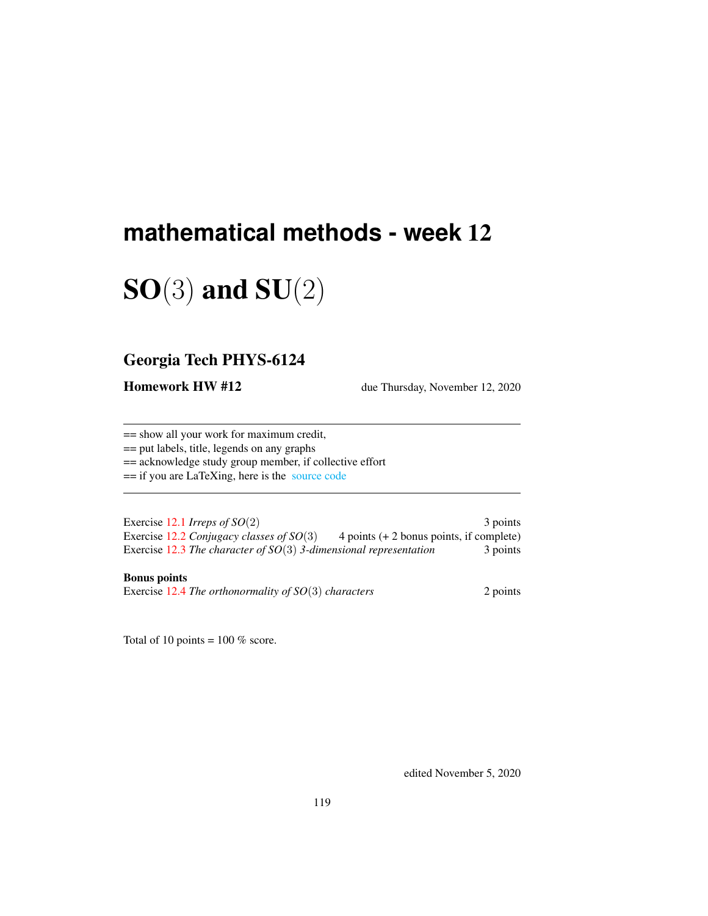# **mathematical methods - week** 12

# $SO(3)$  and  $SU(2)$

# Georgia Tech PHYS-6124

**Homework HW #12** due Thursday, November 12, 2020

== show all your work for maximum credit,

== put labels, title, legends on any graphs

== acknowledge study group member, if collective effort

== if you are LaTeXing, here is the [source code](http://ChaosBook.org/~predrag/courses/PHYS-6124-20/exerWeek12.tex)

Exercise [12.1](#page-10-0) *Irreps of SO*(2) 3 points Exercise [12.2](#page-10-1) *Conjugacy classes of SO*(3) 4 points (+ 2 bonus points, if complete) Exercise [12.3](#page-10-2) *The character of SO*(3) 3-dimensional representation 3 points

#### Bonus points

Exercise [12.4](#page-10-3) *The orthonormality of SO*(3) *characters* 2 points

Total of 10 points =  $100\%$  score.

edited November 5, 2020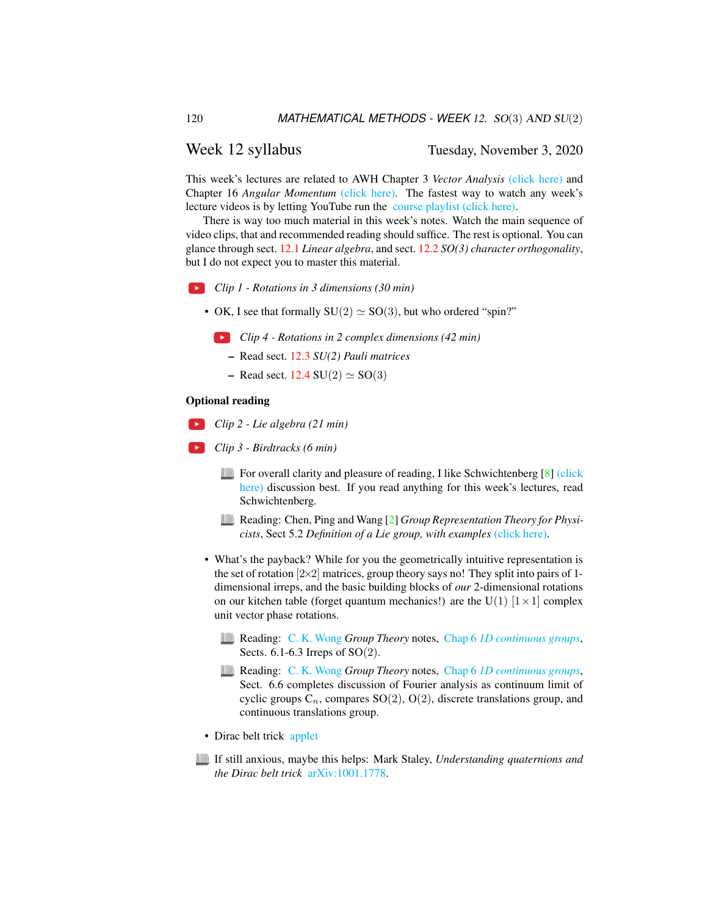#### Week 12 syllabus Tuesday, November 3, 2020

This week's lectures are related to AWH Chapter 3 *Vector Analysis* [\(click here\)](http://ChaosBook.org/library/ArWeHa13chap3.pdf) and Chapter 16 *Angular Momentum* [\(click here\).](http://ChaosBook.org/library/ArWeHa13chap16.pdf) The fastest way to watch any week's lecture videos is by letting YouTube run the [course playlist \(click here\).](https://www.youtube.com/watch?v=_i-e8GN5sI8&list=PLVcaOb64gCp-J115RvfOhE1Yb4s584Mho&index=132)

There is way too much material in this week's notes. Watch the main sequence of video clips, that and recommended reading should suffice. The rest is optional. You can glance through sect. [12.1](#page-2-0) *Linear algebra*, and sect. [12.2](#page-4-0) *SO(3) character orthogonality*, but I do not expect you to master this material.

*Clip 1 - Rotations in 3 dimensions (30 min)*

• OK, I see that formally  $SU(2) \simeq SO(3)$ , but who ordered "spin?"

*Clip 4 - Rotations in 2 complex dimensions (42 min)*

- Read sect. [12.3](#page-6-0) *SU(2) Pauli matrices*
- Read sect.  $12.4 \text{ SU}(2) \simeq \text{SO}(3)$  $12.4 \text{ SU}(2) \simeq \text{SO}(3)$

#### Optional reading

- *Clip 2 Lie algebra (21 min)*
- *Clip 3 Birdtracks (6 min)*
	- For overall clarity and pleasure of reading, I like Schwichtenberg [\[8\]](#page-9-0) [\(click](http://ChaosBook.org/library/Schwicht15-2edited.pdf) [here\)](http://ChaosBook.org/library/Schwicht15-2edited.pdf) discussion best. If you read anything for this week's lectures, read Schwichtenberg.
	- Reading: Chen, Ping and Wang [\[2\]](#page-9-1) *Group Representation Theory for Physicists*, Sect 5.2 *Definition of a Lie group, with examples* [\(click here\).](http://ChaosBook.org/library/Chen5-2.pdf)
	- What's the payback? While for you the geometrically intuitive representation is the set of rotation  $[2\times2]$  matrices, group theory says no! They split into pairs of 1dimensional irreps, and the basic building blocks of *our* 2-dimensional rotations on our kitchen table (forget quantum mechanics!) are the U(1)  $[1 \times 1]$  complex unit vector phase rotations.
		- Reading: [C. K. Wong](http://ckw.phys.ncku.edu.tw/) *Group Theory* notes, Chap 6 *[1D continuous groups](http://ckw.phys.ncku.edu.tw/public/pub/Notes/Mathematics/GroupTheory/Tung/Powerpoint/6._1DContinuousGroups.ppt)*, Sects. 6.1-6.3 Irreps of SO(2).
		- Reading: [C. K. Wong](http://ckw.phys.ncku.edu.tw/) *Group Theory* notes, Chap 6 *[1D continuous groups](http://ckw.phys.ncku.edu.tw/public/pub/Notes/Mathematics/GroupTheory/Tung/Powerpoint/6._1DContinuousGroups.ppt)*, Sect. 6.6 completes discussion of Fourier analysis as continuum limit of cyclic groups  $C_n$ , compares  $SO(2)$ ,  $O(2)$ , discrete translations group, and continuous translations group.
	- Dirac belt trick [applet](https://www.gregegan.net/APPLETS/21/21.html)
	- If still anxious, maybe this helps: Mark Staley, *Understanding quaternions and the Dirac belt trick* [arXiv:1001.1778.](https://arXiv.org/abs/1001.1778)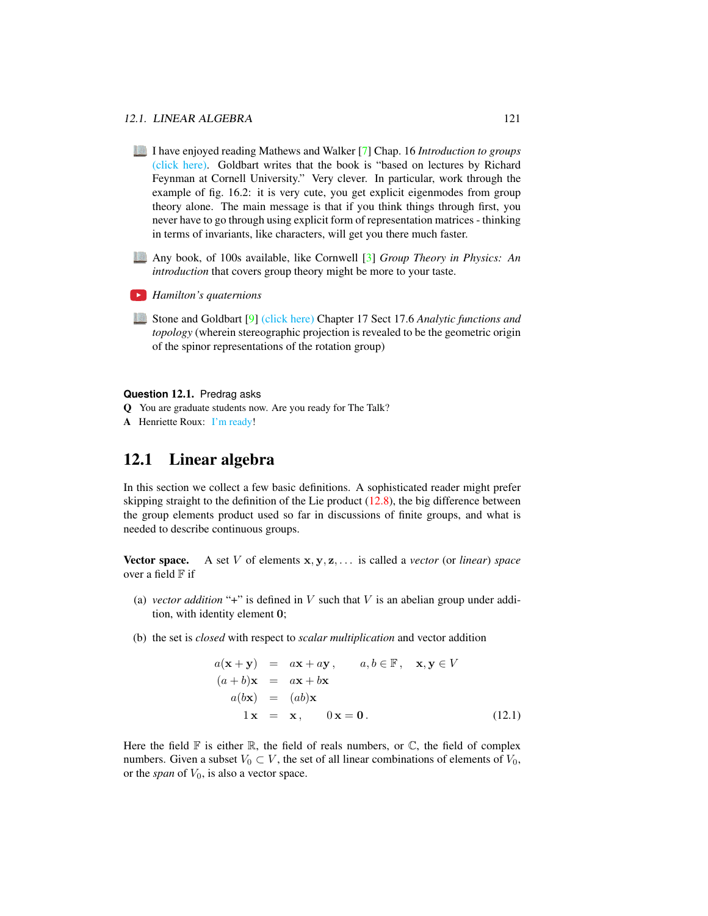- I have enjoyed reading Mathews and Walker [\[7\]](#page-9-2) Chap. 16 *Introduction to groups* [\(click here\).](http://ChaosBook.org/library/MathWalk73.pdf) Goldbart writes that the book is "based on lectures by Richard Feynman at Cornell University." Very clever. In particular, work through the example of fig. 16.2: it is very cute, you get explicit eigenmodes from group theory alone. The main message is that if you think things through first, you never have to go through using explicit form of representation matrices - thinking in terms of invariants, like characters, will get you there much faster.
- Any book, of 100s available, like Cornwell [\[3\]](#page-9-3) *Group Theory in Physics: An introduction* that covers group theory might be more to your taste.
- *Hamilton's quaternions*
- Stone and Goldbart [\[9\]](#page-9-4) [\(click here\)](http://ChaosBook.org/library/StGoChap17.pdf) Chapter 17 Sect 17.6 *Analytic functions and topology* (wherein stereographic projection is revealed to be the geometric origin of the spinor representations of the rotation group)

#### **Question** 12.1. Predrag asks

- Q You are graduate students now. Are you ready for The Talk?
- A Henriette Roux: [I'm ready!](https://www.smbc-comics.com/comic/the-talk-3)

## <span id="page-2-0"></span>12.1 Linear algebra

In this section we collect a few basic definitions. A sophisticated reader might prefer skipping straight to the definition of the Lie product  $(12.8)$ , the big difference between the group elements product used so far in discussions of finite groups, and what is needed to describe continuous groups.

Vector space. A set V of elements x, y, z, . . . is called a *vector* (or *linear*) *space* over a field  $F$  if

- (a) *vector addition* "+" is defined in  $V$  such that  $V$  is an abelian group under addition, with identity element 0;
- (b) the set is *closed* with respect to *scalar multiplication* and vector addition

$$
a(\mathbf{x} + \mathbf{y}) = a\mathbf{x} + a\mathbf{y}, \qquad a, b \in \mathbb{F}, \quad \mathbf{x}, \mathbf{y} \in V
$$
  
\n
$$
(a + b)\mathbf{x} = a\mathbf{x} + b\mathbf{x}
$$
  
\n
$$
a(b\mathbf{x}) = (ab)\mathbf{x}
$$
  
\n
$$
1\mathbf{x} = \mathbf{x}, \qquad 0\mathbf{x} = \mathbf{0}.
$$
 (12.1)

Here the field  $\mathbb F$  is either  $\mathbb R$ , the field of reals numbers, or  $\mathbb C$ , the field of complex numbers. Given a subset  $V_0 \subset V$ , the set of all linear combinations of elements of  $V_0$ , or the *span* of  $V_0$ , is also a vector space.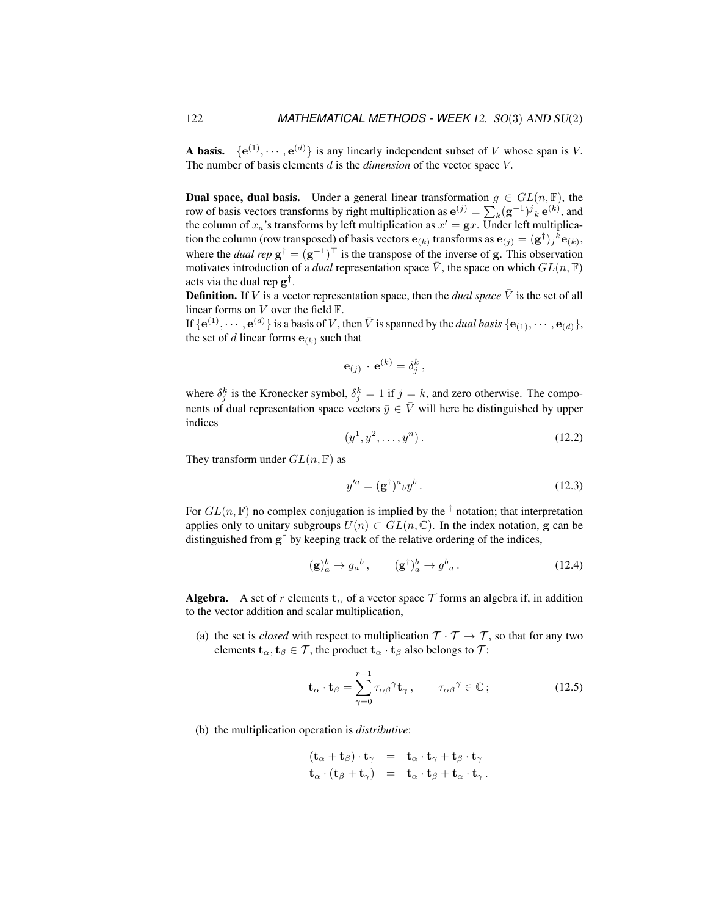**A basis.**  $\{e^{(1)}, \dots, e^{(d)}\}$  is any linearly independent subset of V whose span is V. The number of basis elements d is the *dimension* of the vector space V.

**Dual space, dual basis.** Under a general linear transformation  $g \in GL(n, \mathbb{F})$ , the row of basis vectors transforms by right multiplication as  $e^{(j)} = \sum_k (g^{-1})^j{}_k e^{(k)}$ , and the column of  $x_a$ 's transforms by left multiplication as  $x' = \mathbf{g}x$ . Under left multiplication the column (row transposed) of basis vectors  $e_{(k)}$  transforms as  $e_{(j)} = (g^{\dagger})_j{}^k e_{(k)}$ , where the *dual rep*  $g^{\dagger} = (g^{-1})^{\top}$  is the transpose of the inverse of g. This observation motivates introduction of a *dual* representation space  $\overline{V}$ , the space on which  $GL(n, \mathbb{F})$ acts via the dual rep g † .

**Definition.** If V is a vector representation space, then the *dual space*  $\overline{V}$  is the set of all linear forms on  $V$  over the field  $\mathbb{F}$ .

If  $\{e^{(1)}, \dots, e^{(d)}\}$  is a basis of V, then  $\bar{V}$  is spanned by the *dual basis*  $\{e_{(1)}, \dots, e_{(d)}\}$ , the set of d linear forms  $e_{(k)}$  such that

$$
\mathbf{e}_{(j)} \cdot \mathbf{e}^{(k)} = \delta_j^k,
$$

where  $\delta_j^k$  is the Kronecker symbol,  $\delta_j^k = 1$  if  $j = k$ , and zero otherwise. The components of dual representation space vectors  $\bar{y} \in \bar{V}$  will here be distinguished by upper indices

$$
(y^1, y^2, \dots, y^n). \tag{12.2}
$$

They transform under  $GL(n, \mathbb{F})$  as

$$
y'^a = (\mathbf{g}^\dagger)^a{}_b y^b. \tag{12.3}
$$

For  $GL(n, \mathbb{F})$  no complex conjugation is implied by the <sup>†</sup> notation; that interpretation applies only to unitary subgroups  $U(n) \subset GL(n, \mathbb{C})$ . In the index notation, g can be distinguished from  $g^{\dagger}$  by keeping track of the relative ordering of the indices,

$$
(\mathbf{g})_a^b \to g_a^b \,, \qquad (\mathbf{g}^\dagger)_a^b \to g^b{}_a \,. \tag{12.4}
$$

**Algebra.** A set of r elements  $t_{\alpha}$  of a vector space T forms an algebra if, in addition to the vector addition and scalar multiplication,

(a) the set is *closed* with respect to multiplication  $T \cdot T \rightarrow T$ , so that for any two elements  $\mathbf{t}_{\alpha}, \mathbf{t}_{\beta} \in \mathcal{T}$ , the product  $\mathbf{t}_{\alpha} \cdot \mathbf{t}_{\beta}$  also belongs to  $\mathcal{T}$ :

$$
\mathbf{t}_{\alpha} \cdot \mathbf{t}_{\beta} = \sum_{\gamma=0}^{r-1} \tau_{\alpha\beta}^{\gamma} \mathbf{t}_{\gamma}, \qquad \tau_{\alpha\beta}^{\gamma} \in \mathbb{C} \, ; \tag{12.5}
$$

(b) the multiplication operation is *distributive*:

$$
\begin{array}{rcl}\n(\mathbf{t}_{\alpha} + \mathbf{t}_{\beta}) \cdot \mathbf{t}_{\gamma} & = & \mathbf{t}_{\alpha} \cdot \mathbf{t}_{\gamma} + \mathbf{t}_{\beta} \cdot \mathbf{t}_{\gamma} \\
\mathbf{t}_{\alpha} \cdot (\mathbf{t}_{\beta} + \mathbf{t}_{\gamma}) & = & \mathbf{t}_{\alpha} \cdot \mathbf{t}_{\beta} + \mathbf{t}_{\alpha} \cdot \mathbf{t}_{\gamma}\n\end{array}.
$$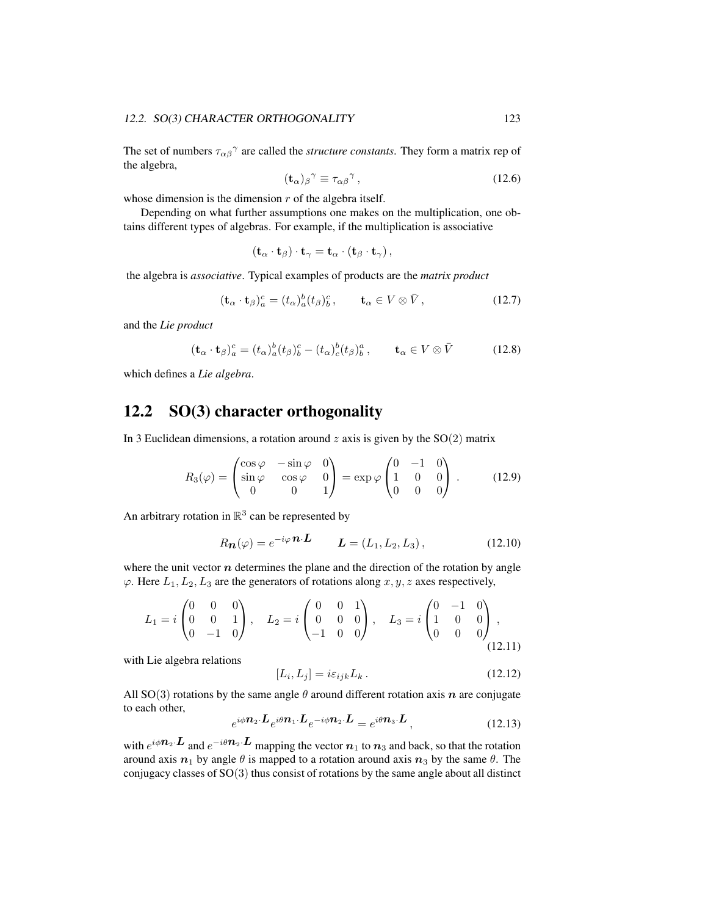The set of numbers  $\tau_{\alpha\beta}^{\gamma}$  are called the *structure constants*. They form a matrix rep of the algebra,

$$
(\mathbf{t}_{\alpha})_{\beta}{}^{\gamma} \equiv \tau_{\alpha\beta}{}^{\gamma},\tag{12.6}
$$

whose dimension is the dimension  $r$  of the algebra itself.

Depending on what further assumptions one makes on the multiplication, one obtains different types of algebras. For example, if the multiplication is associative

$$
(\mathbf{t}_{\alpha} \cdot \mathbf{t}_{\beta}) \cdot \mathbf{t}_{\gamma} = \mathbf{t}_{\alpha} \cdot (\mathbf{t}_{\beta} \cdot \mathbf{t}_{\gamma}),
$$

the algebra is *associative*. Typical examples of products are the *matrix product*

$$
(\mathbf{t}_{\alpha} \cdot \mathbf{t}_{\beta})_a^c = (t_{\alpha})_a^b (t_{\beta})_b^c, \qquad \mathbf{t}_{\alpha} \in V \otimes \bar{V}, \tag{12.7}
$$

and the *Lie product*

<span id="page-4-1"></span>
$$
(\mathbf{t}_{\alpha} \cdot \mathbf{t}_{\beta})_a^c = (t_{\alpha})_a^b (t_{\beta})_b^c - (t_{\alpha})_c^b (t_{\beta})_b^a, \qquad \mathbf{t}_{\alpha} \in V \otimes \bar{V}
$$
 (12.8)

which defines a *Lie algebra*.

# <span id="page-4-0"></span>12.2 SO(3) character orthogonality

In 3 Euclidean dimensions, a rotation around  $z$  axis is given by the  $SO(2)$  matrix

$$
R_3(\varphi) = \begin{pmatrix} \cos \varphi & -\sin \varphi & 0 \\ \sin \varphi & \cos \varphi & 0 \\ 0 & 0 & 1 \end{pmatrix} = \exp \varphi \begin{pmatrix} 0 & -1 & 0 \\ 1 & 0 & 0 \\ 0 & 0 & 0 \end{pmatrix} . \tag{12.9}
$$

An arbitrary rotation in  $\mathbb{R}^3$  can be represented by

<span id="page-4-2"></span>
$$
R_{\mathbf{n}}(\varphi) = e^{-i\varphi} \mathbf{n} \cdot \mathbf{L} \qquad \mathbf{L} = (L_1, L_2, L_3), \qquad (12.10)
$$

where the unit vector  $n$  determines the plane and the direction of the rotation by angle  $\varphi$ . Here  $L_1, L_2, L_3$  are the generators of rotations along  $x, y, z$  axes respectively,

$$
L_1 = i \begin{pmatrix} 0 & 0 & 0 \\ 0 & 0 & 1 \\ 0 & -1 & 0 \end{pmatrix}, \quad L_2 = i \begin{pmatrix} 0 & 0 & 1 \\ 0 & 0 & 0 \\ -1 & 0 & 0 \end{pmatrix}, \quad L_3 = i \begin{pmatrix} 0 & -1 & 0 \\ 1 & 0 & 0 \\ 0 & 0 & 0 \end{pmatrix},
$$
(12.11)

with Lie algebra relations

<span id="page-4-3"></span>
$$
[L_i, L_j] = i\varepsilon_{ijk} L_k. \qquad (12.12)
$$

All SO(3) rotations by the same angle  $\theta$  around different rotation axis  $n$  are conjugate to each other,

$$
e^{i\phi \mathbf{n}_2 \cdot \mathbf{L}} e^{i\theta \mathbf{n}_1 \cdot \mathbf{L}} e^{-i\phi \mathbf{n}_2 \cdot \mathbf{L}} = e^{i\theta \mathbf{n}_3 \cdot \mathbf{L}}, \qquad (12.13)
$$

with  $e^{i\phi \mathbf{n}_2 \cdot \mathbf{L}}$  and  $e^{-i\theta \mathbf{n}_2 \cdot \mathbf{L}}$  mapping the vector  $\mathbf{n}_1$  to  $\mathbf{n}_3$  and back, so that the rotation around axis  $n_1$  by angle  $\theta$  is mapped to a rotation around axis  $n_3$  by the same  $\theta$ . The conjugacy classes of SO(3) thus consist of rotations by the same angle about all distinct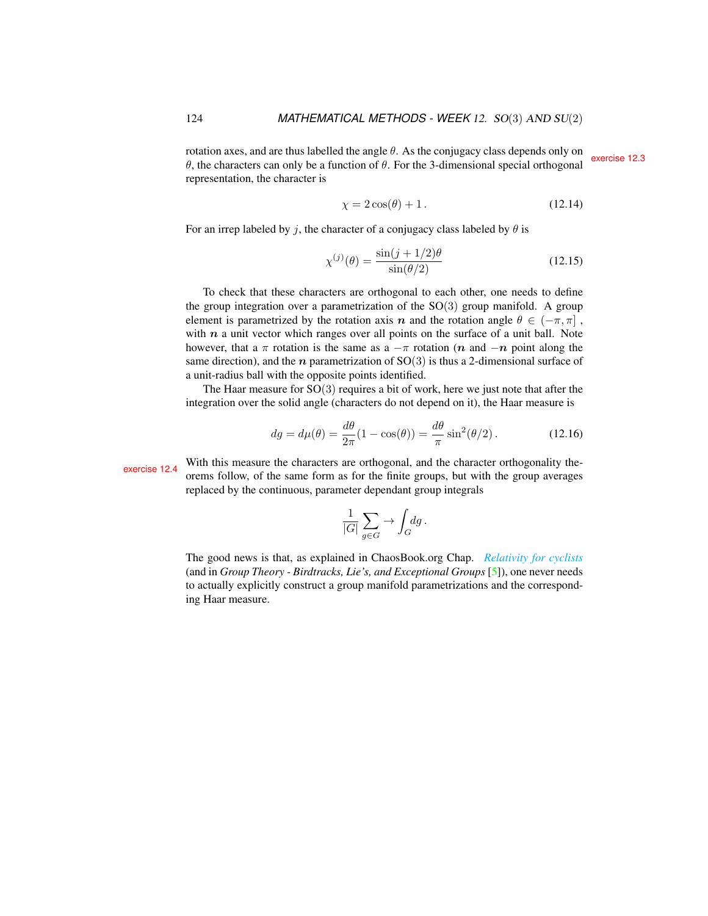rotation axes, and are thus labelled the angle θ. As the conjugacy class depends only on  $θ$ , the characters can only be a function of θ. For the 3-dimensional special orthogonal special orthogonal representation, the character is

$$
\chi = 2\cos(\theta) + 1. \tag{12.14}
$$

For an irrep labeled by j, the character of a conjugacy class labeled by  $\theta$  is

<span id="page-5-1"></span>
$$
\chi^{(j)}(\theta) = \frac{\sin(j+1/2)\theta}{\sin(\theta/2)}
$$
\n(12.15)

To check that these characters are orthogonal to each other, one needs to define the group integration over a parametrization of the  $SO(3)$  group manifold. A group element is parametrized by the rotation axis n and the rotation angle  $\theta \in (-\pi, \pi]$ , with  $n$  a unit vector which ranges over all points on the surface of a unit ball. Note however, that a  $\pi$  rotation is the same as a  $-\pi$  rotation (n and  $-n$  point along the same direction), and the  $n$  parametrization of SO(3) is thus a 2-dimensional surface of a unit-radius ball with the opposite points identified.

The Haar measure for  $SO(3)$  requires a bit of work, here we just note that after the integration over the solid angle (characters do not depend on it), the Haar measure is

<span id="page-5-0"></span>
$$
dg = d\mu(\theta) = \frac{d\theta}{2\pi}(1 - \cos(\theta)) = \frac{d\theta}{\pi}\sin^2(\theta/2). \tag{12.16}
$$

with this measure the characters are orthogonal, and the character orthogonality the-<br>orems follow, of the same form as for the finite groups, but with the group averages replaced by the continuous, parameter dependant group integrals

$$
\frac{1}{|G|} \sum_{g \in G} \to \int_G dg \, .
$$

The good news is that, as explained in ChaosBook.org Chap. *[Relativity for cyclists](http://birdtracks.eu/courses/PHYS-7143-19/continuous.pdf)* (and in *Group Theory - Birdtracks, Lie's, and Exceptional Groups* [\[5\]](#page-9-5)), one never needs to actually explicitly construct a group manifold parametrizations and the corresponding Haar measure.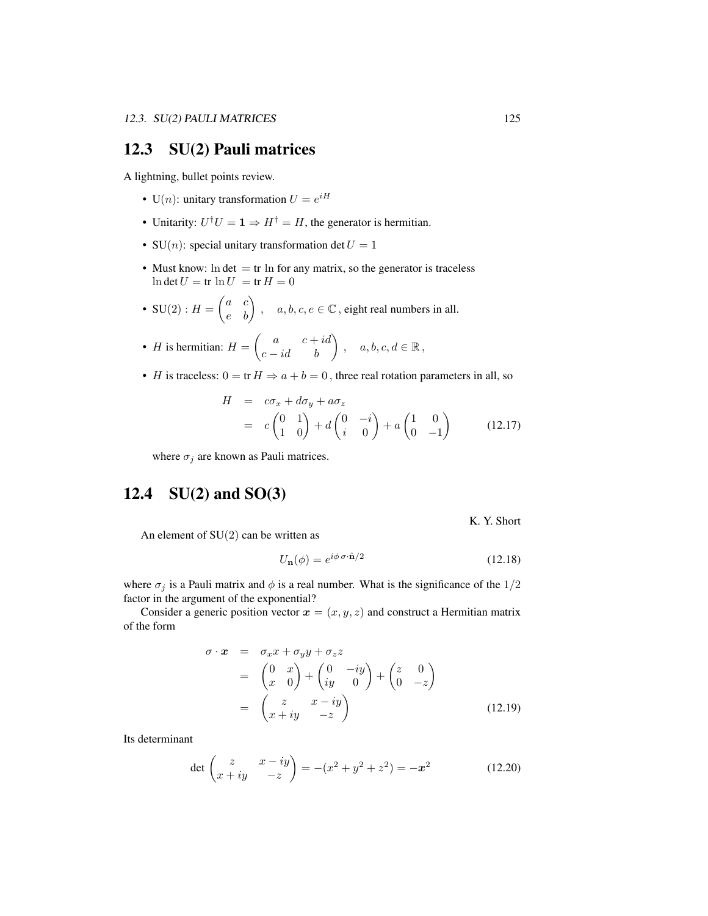## <span id="page-6-0"></span>12.3 SU(2) Pauli matrices

A lightning, bullet points review.

- U(*n*): unitary transformation  $U = e^{iH}$
- Unitarity:  $U^{\dagger}U = \mathbf{1} \Rightarrow H^{\dagger} = H$ , the generator is hermitian.
- SU(*n*): special unitary transformation det  $U = 1$
- Must know:  $\ln \det = \text{tr} \ln \text{ for any matrix, so the generator is traceless}$  $\ln \det U = \text{tr} \ln U = \text{tr} H = 0$
- SU(2) :  $H = \begin{pmatrix} a & c \\ e & b \end{pmatrix}$ ,  $a, b, c, e \in \mathbb{C}$ , eight real numbers in all.
- *H* is hermitian:  $H = \begin{pmatrix} a & c + id \\ c id & b \end{pmatrix}$ ,  $a, b, c, d \in \mathbb{R}$ ,
- H is traceless:  $0 = \text{tr } H \Rightarrow a + b = 0$ , three real rotation parameters in all, so

$$
H = c\sigma_x + d\sigma_y + a\sigma_z
$$
  
=  $c\begin{pmatrix} 0 & 1 \\ 1 & 0 \end{pmatrix} + d\begin{pmatrix} 0 & -i \\ i & 0 \end{pmatrix} + a\begin{pmatrix} 1 & 0 \\ 0 & -1 \end{pmatrix}$  (12.17)

where  $\sigma_j$  are known as Pauli matrices.

# <span id="page-6-1"></span>12.4  $SU(2)$  and  $SO(3)$

K. Y. Short

An element of  $SU(2)$  can be written as

<span id="page-6-2"></span>
$$
U_{\mathbf{n}}(\phi) = e^{i\phi \,\sigma \cdot \hat{\mathbf{n}}/2} \tag{12.18}
$$

where  $\sigma_j$  is a Pauli matrix and  $\phi$  is a real number. What is the significance of the 1/2 factor in the argument of the exponential?

Consider a generic position vector  $x = (x, y, z)$  and construct a Hermitian matrix of the form

$$
\sigma \cdot \mathbf{x} = \sigma_x x + \sigma_y y + \sigma_z z
$$
  
=  $\begin{pmatrix} 0 & x \\ x & 0 \end{pmatrix} + \begin{pmatrix} 0 & -iy \\ iy & 0 \end{pmatrix} + \begin{pmatrix} z & 0 \\ 0 & -z \end{pmatrix}$   
=  $\begin{pmatrix} z & x - iy \\ x + iy & -z \end{pmatrix}$  (12.19)

Its determinant

$$
\det \begin{pmatrix} z & x - iy \\ x + iy & -z \end{pmatrix} = -(x^2 + y^2 + z^2) = -x^2 \tag{12.20}
$$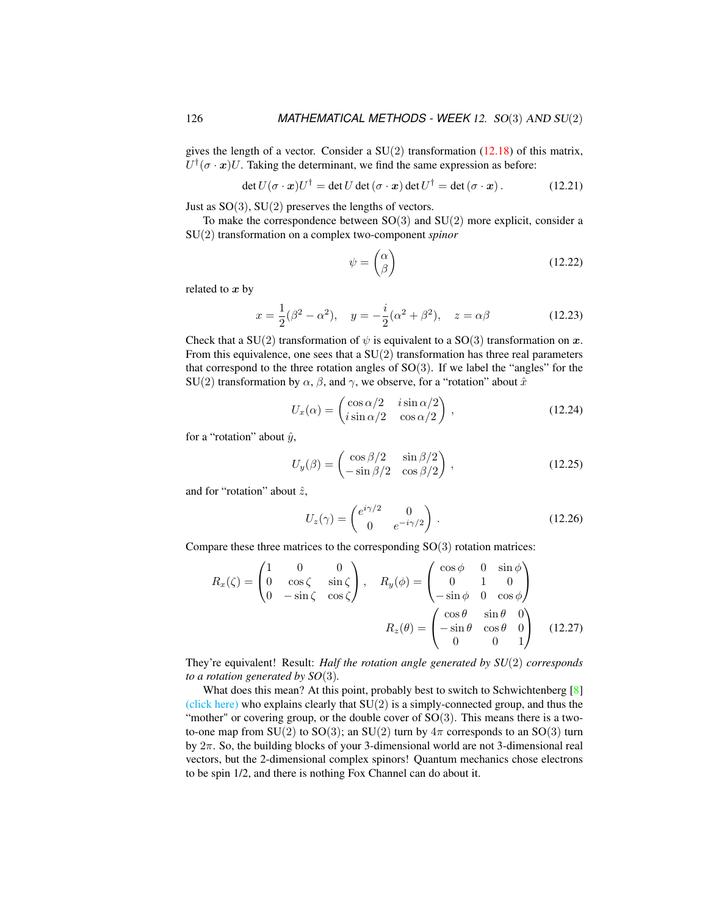gives the length of a vector. Consider a  $SU(2)$  transformation  $(12.18)$  of this matrix,  $U^{\dagger}(\sigma \cdot \mathbf{x})U$ . Taking the determinant, we find the same expression as before:

$$
\det U(\sigma \cdot \mathbf{x})U^{\dagger} = \det U \det(\sigma \cdot \mathbf{x}) \det U^{\dagger} = \det(\sigma \cdot \mathbf{x}). \tag{12.21}
$$

Just as  $SO(3)$ ,  $SU(2)$  preserves the lengths of vectors.

To make the correspondence between  $SO(3)$  and  $SU(2)$  more explicit, consider a SU(2) transformation on a complex two-component *spinor*

$$
\psi = \begin{pmatrix} \alpha \\ \beta \end{pmatrix} \tag{12.22}
$$

related to  $x$  by

$$
x = \frac{1}{2}(\beta^2 - \alpha^2), \quad y = -\frac{i}{2}(\alpha^2 + \beta^2), \quad z = \alpha\beta
$$
 (12.23)

Check that a SU(2) transformation of  $\psi$  is equivalent to a SO(3) transformation on x. From this equivalence, one sees that a  $SU(2)$  transformation has three real parameters that correspond to the three rotation angles of  $SO(3)$ . If we label the "angles" for the SU(2) transformation by  $\alpha$ ,  $\beta$ , and  $\gamma$ , we observe, for a "rotation" about  $\hat{x}$ 

$$
U_x(\alpha) = \begin{pmatrix} \cos \alpha/2 & i \sin \alpha/2 \\ i \sin \alpha/2 & \cos \alpha/2 \end{pmatrix},
$$
 (12.24)

for a "rotation" about  $\hat{y}$ ,

$$
U_y(\beta) = \begin{pmatrix} \cos \beta/2 & \sin \beta/2 \\ -\sin \beta/2 & \cos \beta/2 \end{pmatrix},
$$
 (12.25)

and for "rotation" about  $\hat{z}$ ,

$$
U_z(\gamma) = \begin{pmatrix} e^{i\gamma/2} & 0\\ 0 & e^{-i\gamma/2} \end{pmatrix} .
$$
 (12.26)

Compare these three matrices to the corresponding  $SO(3)$  rotation matrices:

$$
R_x(\zeta) = \begin{pmatrix} 1 & 0 & 0 \\ 0 & \cos \zeta & \sin \zeta \\ 0 & -\sin \zeta & \cos \zeta \end{pmatrix}, \quad R_y(\phi) = \begin{pmatrix} \cos \phi & 0 & \sin \phi \\ 0 & 1 & 0 \\ -\sin \phi & 0 & \cos \phi \end{pmatrix}
$$

$$
R_z(\theta) = \begin{pmatrix} \cos \theta & \sin \theta & 0 \\ -\sin \theta & \cos \theta & 0 \\ 0 & 0 & 1 \end{pmatrix}
$$
(12.27)

They're equivalent! Result: *Half the rotation angle generated by SU*(2) *corresponds to a rotation generated by SO*(3)*.*

What does this mean? At this point, probably best to switch to Schwichtenberg [\[8\]](#page-9-0) [\(click here\)](http://ChaosBook.org/library/Schwicht15-2edited.pdf) who explains clearly that  $SU(2)$  is a simply-connected group, and thus the "mother" or covering group, or the double cover of  $SO(3)$ . This means there is a twoto-one map from SU(2) to SO(3); an SU(2) turn by  $4\pi$  corresponds to an SO(3) turn by 2π. So, the building blocks of your 3-dimensional world are not 3-dimensional real vectors, but the 2-dimensional complex spinors! Quantum mechanics chose electrons to be spin 1/2, and there is nothing Fox Channel can do about it.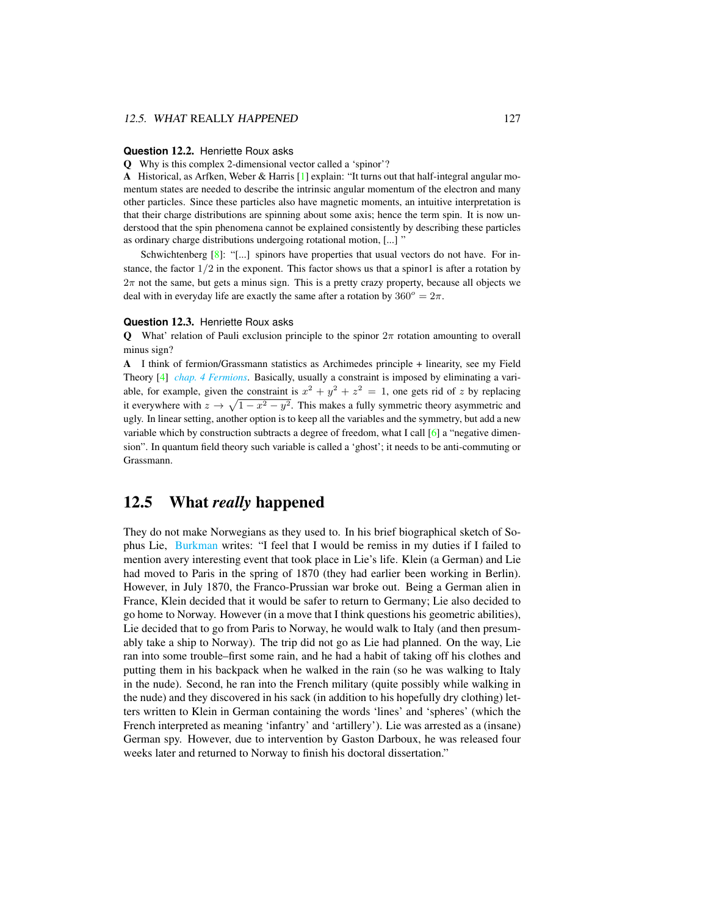#### **Question** 12.2. Henriette Roux asks

Q Why is this complex 2-dimensional vector called a 'spinor'?

A Historical, as Arfken, Weber & Harris [\[1\]](#page-9-6) explain: "It turns out that half-integral angular momentum states are needed to describe the intrinsic angular momentum of the electron and many other particles. Since these particles also have magnetic moments, an intuitive interpretation is that their charge distributions are spinning about some axis; hence the term spin. It is now understood that the spin phenomena cannot be explained consistently by describing these particles as ordinary charge distributions undergoing rotational motion, [...] "

Schwichtenberg  $[8]$ : "[...] spinors have properties that usual vectors do not have. For instance, the factor  $1/2$  in the exponent. This factor shows us that a spinor1 is after a rotation by  $2\pi$  not the same, but gets a minus sign. This is a pretty crazy property, because all objects we deal with in everyday life are exactly the same after a rotation by  $360^\circ = 2\pi$ .

#### **Question** 12.3. Henriette Roux asks

**Q** What' relation of Pauli exclusion principle to the spinor  $2\pi$  rotation amounting to overall minus sign?

A I think of fermion/Grassmann statistics as Archimedes principle + linearity, see my Field Theory [\[4\]](#page-9-7) *[chap. 4 Fermions](http://chaosbook.org/FieldTheory/04-Fermions.pdf)*. Basically, usually a constraint is imposed by eliminating a variable, for example, given the constraint is  $x^2 + y^2 + z^2 = 1$ , one gets rid of z by replacing it everywhere with  $z \to \sqrt{1-x^2-y^2}$ . This makes a fully symmetric theory asymmetric and ugly. In linear setting, another option is to keep all the variables and the symmetry, but add a new variable which by construction subtracts a degree of freedom, what I call [\[6\]](#page-9-8) a "negative dimension". In quantum field theory such variable is called a 'ghost'; it needs to be anti-commuting or Grassmann.

### 12.5 What *really* happened

They do not make Norwegians as they used to. In his brief biographical sketch of Sophus Lie, [Burkman](http://math.hawaii.edu/home/talks/burkman_master_talk.pdf) writes: "I feel that I would be remiss in my duties if I failed to mention avery interesting event that took place in Lie's life. Klein (a German) and Lie had moved to Paris in the spring of 1870 (they had earlier been working in Berlin). However, in July 1870, the Franco-Prussian war broke out. Being a German alien in France, Klein decided that it would be safer to return to Germany; Lie also decided to go home to Norway. However (in a move that I think questions his geometric abilities), Lie decided that to go from Paris to Norway, he would walk to Italy (and then presumably take a ship to Norway). The trip did not go as Lie had planned. On the way, Lie ran into some trouble–first some rain, and he had a habit of taking off his clothes and putting them in his backpack when he walked in the rain (so he was walking to Italy in the nude). Second, he ran into the French military (quite possibly while walking in the nude) and they discovered in his sack (in addition to his hopefully dry clothing) letters written to Klein in German containing the words 'lines' and 'spheres' (which the French interpreted as meaning 'infantry' and 'artillery'). Lie was arrested as a (insane) German spy. However, due to intervention by Gaston Darboux, he was released four weeks later and returned to Norway to finish his doctoral dissertation."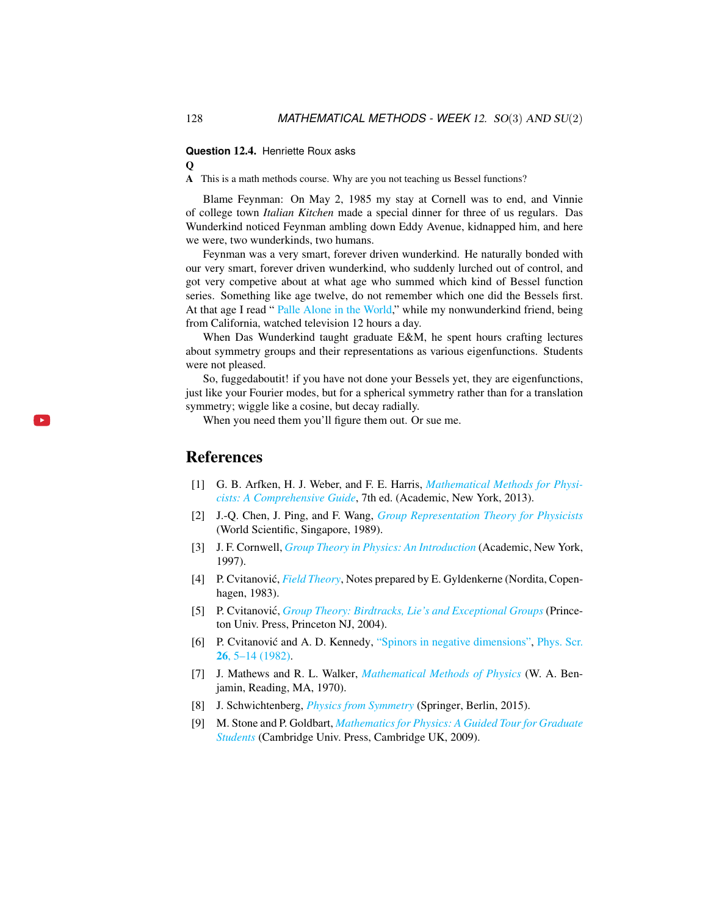**Question** 12.4. Henriette Roux asks

 $\Omega$ 

A This is a math methods course. Why are you not teaching us Bessel functions?

Blame Feynman: On May 2, 1985 my stay at Cornell was to end, and Vinnie of college town *Italian Kitchen* made a special dinner for three of us regulars. Das Wunderkind noticed Feynman ambling down Eddy Avenue, kidnapped him, and here we were, two wunderkinds, two humans.

Feynman was a very smart, forever driven wunderkind. He naturally bonded with our very smart, forever driven wunderkind, who suddenly lurched out of control, and got very competive about at what age who summed which kind of Bessel function series. Something like age twelve, do not remember which one did the Bessels first. At that age I read " [Palle Alone in the World,](https://vimeo.com/89776780)" while my nonwunderkind friend, being from California, watched television 12 hours a day.

When Das Wunderkind taught graduate E&M, he spent hours crafting lectures about symmetry groups and their representations as various eigenfunctions. Students were not pleased.

So, fuggedaboutit! if you have not done your Bessels yet, they are eigenfunctions, just like your Fourier modes, but for a spherical symmetry rather than for a translation symmetry; wiggle like a cosine, but decay radially.

When you need them you'll figure them out. Or sue me.

### References

 $\mathbf{b}$ 

- <span id="page-9-6"></span>[1] G. B. Arfken, H. J. Weber, and F. E. Harris, *[Mathematical Methods for Physi](http://books.google.com/books?vid=ISBN9780123846549)[cists: A Comprehensive Guide](http://books.google.com/books?vid=ISBN9780123846549)*, 7th ed. (Academic, New York, 2013).
- <span id="page-9-1"></span>[2] J.-Q. Chen, J. Ping, and F. Wang, *[Group Representation Theory for Physicists](http://dx.doi.org/10.1142/0262)* (World Scientific, Singapore, 1989).
- <span id="page-9-3"></span>[3] J. F. Cornwell, *[Group Theory in Physics: An Introduction](http://books.google.com/books?vid=ISBN9780121898007)* (Academic, New York, 1997).
- <span id="page-9-7"></span>[4] P. Cvitanović, *[Field Theory](http://ChaosBook.org/FieldTheory)*, Notes prepared by E. Gyldenkerne (Nordita, Copenhagen, 1983).
- <span id="page-9-5"></span>[5] P. Cvitanović, *[Group Theory: Birdtracks, Lie's and Exceptional Groups](https://press.princeton.edu/titles/8839.html)* (Princeton Univ. Press, Princeton NJ, 2004).
- <span id="page-9-8"></span>[6] P. Cvitanović and A. D. Kennedy, ["Spinors in negative dimensions",](http://dx.doi.org/10.1088/0031-8949/26/1/001) [Phys. Scr.](https://doi.org/10.1088/0031-8949/26/1/001) 26[, 5–14 \(1982\).](https://doi.org/10.1088/0031-8949/26/1/001)
- <span id="page-9-2"></span>[7] J. Mathews and R. L. Walker, *[Mathematical Methods of Physics](http://dx.doi.org/10.2307/2316002)* (W. A. Benjamin, Reading, MA, 1970).
- <span id="page-9-0"></span>[8] J. Schwichtenberg, *[Physics from Symmetry](http://dx.doi.org/10.1007/978-3-319-19201-7)* (Springer, Berlin, 2015).
- <span id="page-9-4"></span>[9] M. Stone and P. Goldbart, *[Mathematics for Physics: A Guided Tour for Graduate](http://dx.doi.org/10.1017/cbo9780511627040) [Students](http://dx.doi.org/10.1017/cbo9780511627040)* (Cambridge Univ. Press, Cambridge UK, 2009).